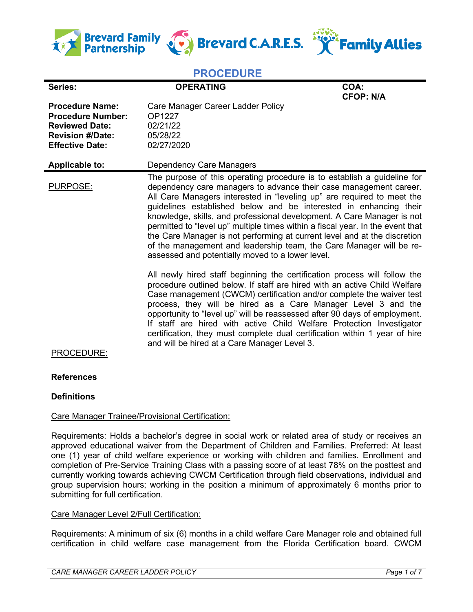

# **PROCEDURE**

| Series:                                                                                                                          | <b>OPERATING</b>                                                                                                                                                                                                                                                                                                                                                                                                                                                                                                                                                                                                                                                | COA:<br><b>CFOP: N/A</b> |
|----------------------------------------------------------------------------------------------------------------------------------|-----------------------------------------------------------------------------------------------------------------------------------------------------------------------------------------------------------------------------------------------------------------------------------------------------------------------------------------------------------------------------------------------------------------------------------------------------------------------------------------------------------------------------------------------------------------------------------------------------------------------------------------------------------------|--------------------------|
| <b>Procedure Name:</b><br><b>Procedure Number:</b><br><b>Reviewed Date:</b><br><b>Revision #/Date:</b><br><b>Effective Date:</b> | Care Manager Career Ladder Policy<br>OP1227<br>02/21/22<br>05/28/22<br>02/27/2020                                                                                                                                                                                                                                                                                                                                                                                                                                                                                                                                                                               |                          |
| <b>Applicable to:</b>                                                                                                            | Dependency Care Managers                                                                                                                                                                                                                                                                                                                                                                                                                                                                                                                                                                                                                                        |                          |
| PURPOSE:                                                                                                                         | The purpose of this operating procedure is to establish a guideline for<br>dependency care managers to advance their case management career.<br>All Care Managers interested in "leveling up" are required to meet the<br>guidelines established below and be interested in enhancing their<br>knowledge, skills, and professional development. A Care Manager is not<br>permitted to "level up" multiple times within a fiscal year. In the event that<br>the Care Manager is not performing at current level and at the discretion<br>of the management and leadership team, the Care Manager will be re-<br>assessed and potentially moved to a lower level. |                          |
|                                                                                                                                  | All newly hired staff beginning the certification process will follow the<br>procedure outlined below. If staff are hired with an active Child Welfare<br>Case management (CWCM) certification and/or complete the waiver test<br>process, they will be hired as a Care Manager Level 3 and the<br>opportunity to "level up" will be reassessed after 90 days of employment.<br>If staff are hired with active Child Welfare Protection Investigator<br>certification, they must complete dual certification within 1 year of hire<br>and will be hired at a Care Manager Level 3.                                                                              |                          |

PROCEDURE:

# **References**

# **Definitions**

# Care Manager Trainee/Provisional Certification:

Requirements: Holds a bachelor's degree in social work or related area of study or receives an approved educational waiver from the Department of Children and Families. Preferred: At least one (1) year of child welfare experience or working with children and families. Enrollment and completion of Pre-Service Training Class with a passing score of at least 78% on the posttest and currently working towards achieving CWCM Certification through field observations, individual and group supervision hours; working in the position a minimum of approximately 6 months prior to submitting for full certification.

# Care Manager Level 2/Full Certification:

Requirements: A minimum of six (6) months in a child welfare Care Manager role and obtained full certification in child welfare case management from the Florida Certification board. CWCM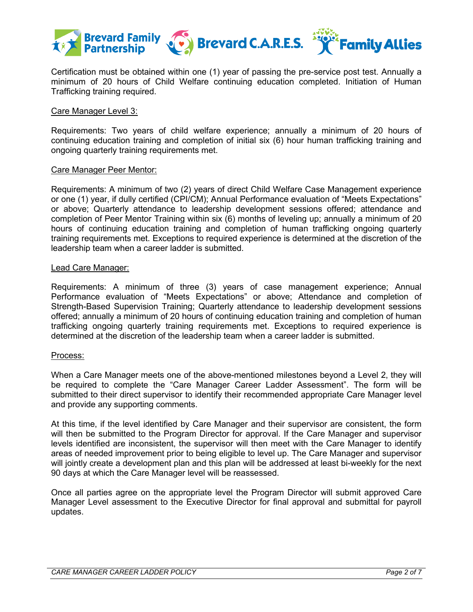

Certification must be obtained within one (1) year of passing the pre-service post test. Annually a minimum of 20 hours of Child Welfare continuing education completed. Initiation of Human Trafficking training required.

## Care Manager Level 3:

Requirements: Two years of child welfare experience; annually a minimum of 20 hours of continuing education training and completion of initial six (6) hour human trafficking training and ongoing quarterly training requirements met.

#### Care Manager Peer Mentor:

Requirements: A minimum of two (2) years of direct Child Welfare Case Management experience or one (1) year, if dully certified (CPI/CM); Annual Performance evaluation of "Meets Expectations" or above; Quarterly attendance to leadership development sessions offered; attendance and completion of Peer Mentor Training within six (6) months of leveling up; annually a minimum of 20 hours of continuing education training and completion of human trafficking ongoing quarterly training requirements met. Exceptions to required experience is determined at the discretion of the leadership team when a career ladder is submitted.

## Lead Care Manager:

Requirements: A minimum of three (3) years of case management experience; Annual Performance evaluation of "Meets Expectations" or above; Attendance and completion of Strength-Based Supervision Training; Quarterly attendance to leadership development sessions offered; annually a minimum of 20 hours of continuing education training and completion of human trafficking ongoing quarterly training requirements met. Exceptions to required experience is determined at the discretion of the leadership team when a career ladder is submitted.

## Process:

When a Care Manager meets one of the above-mentioned milestones beyond a Level 2, they will be required to complete the "Care Manager Career Ladder Assessment". The form will be submitted to their direct supervisor to identify their recommended appropriate Care Manager level and provide any supporting comments.

At this time, if the level identified by Care Manager and their supervisor are consistent, the form will then be submitted to the Program Director for approval. If the Care Manager and supervisor levels identified are inconsistent, the supervisor will then meet with the Care Manager to identify areas of needed improvement prior to being eligible to level up. The Care Manager and supervisor will jointly create a development plan and this plan will be addressed at least bi-weekly for the next 90 days at which the Care Manager level will be reassessed.

Once all parties agree on the appropriate level the Program Director will submit approved Care Manager Level assessment to the Executive Director for final approval and submittal for payroll updates.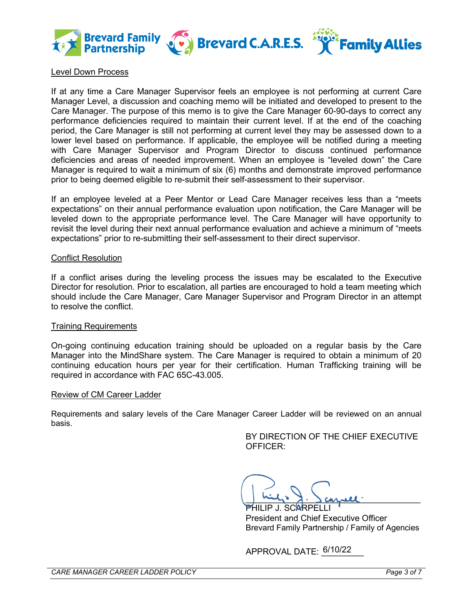

## Level Down Process

If at any time a Care Manager Supervisor feels an employee is not performing at current Care Manager Level, a discussion and coaching memo will be initiated and developed to present to the Care Manager. The purpose of this memo is to give the Care Manager 60-90-days to correct any performance deficiencies required to maintain their current level. If at the end of the coaching period, the Care Manager is still not performing at current level they may be assessed down to a lower level based on performance. If applicable, the employee will be notified during a meeting with Care Manager Supervisor and Program Director to discuss continued performance deficiencies and areas of needed improvement. When an employee is "leveled down" the Care Manager is required to wait a minimum of six (6) months and demonstrate improved performance prior to being deemed eligible to re-submit their self-assessment to their supervisor.

If an employee leveled at a Peer Mentor or Lead Care Manager receives less than a "meets expectations" on their annual performance evaluation upon notification, the Care Manager will be leveled down to the appropriate performance level. The Care Manager will have opportunity to revisit the level during their next annual performance evaluation and achieve a minimum of "meets expectations" prior to re-submitting their self-assessment to their direct supervisor.

#### Conflict Resolution

If a conflict arises during the leveling process the issues may be escalated to the Executive Director for resolution. Prior to escalation, all parties are encouraged to hold a team meeting which should include the Care Manager, Care Manager Supervisor and Program Director in an attempt to resolve the conflict.

#### Training Requirements

On-going continuing education training should be uploaded on a regular basis by the Care Manager into the MindShare system. The Care Manager is required to obtain a minimum of 20 continuing education hours per year for their certification. Human Trafficking training will be required in accordance with FAC 65C-43.005.

#### Review of CM Career Ladder

Requirements and salary levels of the Care Manager Career Ladder will be reviewed on an annual basis.

> BY DIRECTION OF THE CHIEF EXECUTIVE OFFICER:

,  $\frac{1}{2}$   $\frac{1}{2}$   $\frac{1}{2}$   $\frac{1}{2}$   $\frac{1}{2}$   $\frac{1}{2}$   $\frac{1}{2}$   $\frac{1}{2}$ PHILIP J. SCARPELLI

President and Chief Executive Officer Brevard Family Partnership / Family of Agencies

APPROVAL DATE: 6/10/22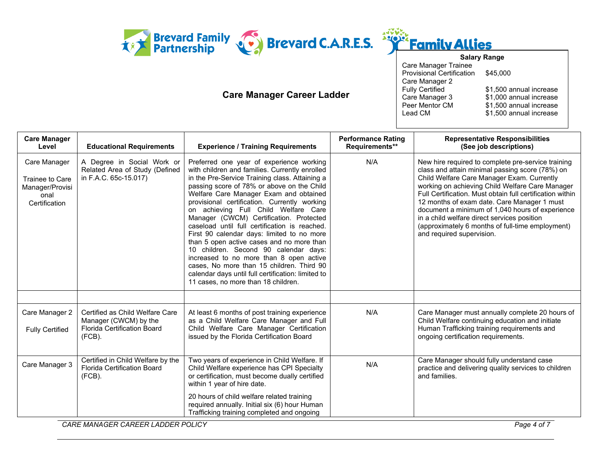

# **Care Manager Career Ladder**



| <b>Salary Range</b>              |                         |
|----------------------------------|-------------------------|
| Care Manager Trainee             |                         |
| <b>Provisional Certification</b> | \$45,000                |
| Care Manager 2                   |                         |
| <b>Fully Certified</b>           | \$1,500 annual increase |
| Care Manager 3                   | \$1,000 annual increase |
| Peer Mentor CM                   | \$1,500 annual increase |
| Lead CM                          | \$1,500 annual increase |
|                                  |                         |

| <b>Care Manager</b><br>Level                                                | <b>Educational Requirements</b>                                                                             | <b>Experience / Training Requirements</b>                                                                                                                                                                                                                                                                                                                                                                                                                                                                                                                                                                                                                                                                                                         | <b>Performance Rating</b><br>Requirements** | <b>Representative Responsibilities</b><br>(See job descriptions)                                                                                                                                                                                                                                                                                                                                                                                                                                      |
|-----------------------------------------------------------------------------|-------------------------------------------------------------------------------------------------------------|---------------------------------------------------------------------------------------------------------------------------------------------------------------------------------------------------------------------------------------------------------------------------------------------------------------------------------------------------------------------------------------------------------------------------------------------------------------------------------------------------------------------------------------------------------------------------------------------------------------------------------------------------------------------------------------------------------------------------------------------------|---------------------------------------------|-------------------------------------------------------------------------------------------------------------------------------------------------------------------------------------------------------------------------------------------------------------------------------------------------------------------------------------------------------------------------------------------------------------------------------------------------------------------------------------------------------|
| Care Manager<br>Trainee to Care<br>Manager/Provisi<br>onal<br>Certification | A Degree in Social Work or<br>Related Area of Study (Defined<br>in F.A.C. 65c-15.017)                       | Preferred one year of experience working<br>with children and families. Currently enrolled<br>in the Pre-Service Training class. Attaining a<br>passing score of 78% or above on the Child<br>Welfare Care Manager Exam and obtained<br>provisional certification. Currently working<br>on achieving Full Child Welfare Care<br>Manager (CWCM) Certification. Protected<br>caseload until full certification is reached.<br>First 90 calendar days: limited to no more<br>than 5 open active cases and no more than<br>10 children. Second 90 calendar days:<br>increased to no more than 8 open active<br>cases, No more than 15 children. Third 90<br>calendar days until full certification: limited to<br>11 cases, no more than 18 children. | N/A                                         | New hire required to complete pre-service training<br>class and attain minimal passing score (78%) on<br>Child Welfare Care Manager Exam. Currently<br>working on achieving Child Welfare Care Manager<br>Full Certification. Must obtain full certification within<br>12 months of exam date. Care Manager 1 must<br>document a minimum of 1,040 hours of experience<br>in a child welfare direct services position<br>(approximately 6 months of full-time employment)<br>and required supervision. |
|                                                                             |                                                                                                             |                                                                                                                                                                                                                                                                                                                                                                                                                                                                                                                                                                                                                                                                                                                                                   |                                             |                                                                                                                                                                                                                                                                                                                                                                                                                                                                                                       |
| Care Manager 2<br><b>Fully Certified</b>                                    | Certified as Child Welfare Care<br>Manager (CWCM) by the<br><b>Florida Certification Board</b><br>$(FCB)$ . | At least 6 months of post training experience<br>as a Child Welfare Care Manager and Full<br>Child Welfare Care Manager Certification<br>issued by the Florida Certification Board                                                                                                                                                                                                                                                                                                                                                                                                                                                                                                                                                                | N/A                                         | Care Manager must annually complete 20 hours of<br>Child Welfare continuing education and initiate<br>Human Trafficking training requirements and<br>ongoing certification requirements.                                                                                                                                                                                                                                                                                                              |
| Care Manager 3                                                              | Certified in Child Welfare by the<br>Florida Certification Board<br>$(FCB)$ .                               | Two years of experience in Child Welfare. If<br>Child Welfare experience has CPI Specialty<br>or certification, must become dually certified<br>within 1 year of hire date.<br>20 hours of child welfare related training                                                                                                                                                                                                                                                                                                                                                                                                                                                                                                                         | N/A                                         | Care Manager should fully understand case<br>practice and delivering quality services to children<br>and families.                                                                                                                                                                                                                                                                                                                                                                                    |
|                                                                             |                                                                                                             | required annually. Initial six (6) hour Human<br>Trafficking training completed and ongoing                                                                                                                                                                                                                                                                                                                                                                                                                                                                                                                                                                                                                                                       |                                             |                                                                                                                                                                                                                                                                                                                                                                                                                                                                                                       |

*CARE MANAGER CAREER LADDER POLICY Page 4 of 7*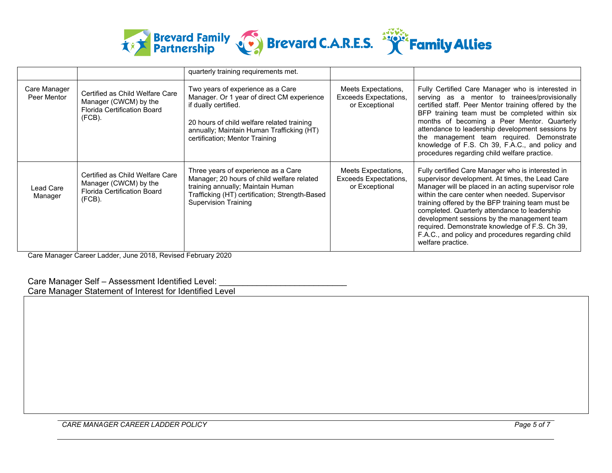

|                             |                                                                                                             | quarterly training requirements met.                                                                                                                                                                                                 |                                                                       |                                                                                                                                                                                                                                                                                                                                                                                                                                                                                                |
|-----------------------------|-------------------------------------------------------------------------------------------------------------|--------------------------------------------------------------------------------------------------------------------------------------------------------------------------------------------------------------------------------------|-----------------------------------------------------------------------|------------------------------------------------------------------------------------------------------------------------------------------------------------------------------------------------------------------------------------------------------------------------------------------------------------------------------------------------------------------------------------------------------------------------------------------------------------------------------------------------|
| Care Manager<br>Peer Mentor | Certified as Child Welfare Care<br>Manager (CWCM) by the<br><b>Florida Certification Board</b><br>(FCB).    | Two years of experience as a Care<br>Manager. Or 1 year of direct CM experience<br>if dually certified.<br>20 hours of child welfare related training<br>annually; Maintain Human Trafficking (HT)<br>certification; Mentor Training | Meets Expectations,<br>Exceeds Expectations,<br>or Exceptional        | Fully Certified Care Manager who is interested in<br>serving as a mentor to trainees/provisionally<br>certified staff. Peer Mentor training offered by the<br>BFP training team must be completed within six<br>months of becoming a Peer Mentor. Quarterly<br>attendance to leadership development sessions by<br>the management team required. Demonstrate<br>knowledge of F.S. Ch 39, F.A.C., and policy and<br>procedures regarding child welfare practice.                                |
| Lead Care<br>Manager        | Certified as Child Welfare Care<br>Manager (CWCM) by the<br><b>Florida Certification Board</b><br>$(FCB)$ . | Three years of experience as a Care<br>Manager; 20 hours of child welfare related<br>training annually; Maintain Human<br>Trafficking (HT) certification; Strength-Based<br><b>Supervision Training</b>                              | Meets Expectations,<br><b>Exceeds Expectations,</b><br>or Exceptional | Fully certified Care Manager who is interested in<br>supervisor development. At times, the Lead Care<br>Manager will be placed in an acting supervisor role<br>within the care center when needed. Supervisor<br>training offered by the BFP training team must be<br>completed. Quarterly attendance to leadership<br>development sessions by the management team<br>required. Demonstrate knowledge of F.S. Ch 39,<br>F.A.C., and policy and procedures regarding child<br>welfare practice. |

Care Manager Career Ladder, June 2018, Revised February 2020

## Care Manager Self - Assessment Identified Level:

Care Manager Statement of Interest for Identified Level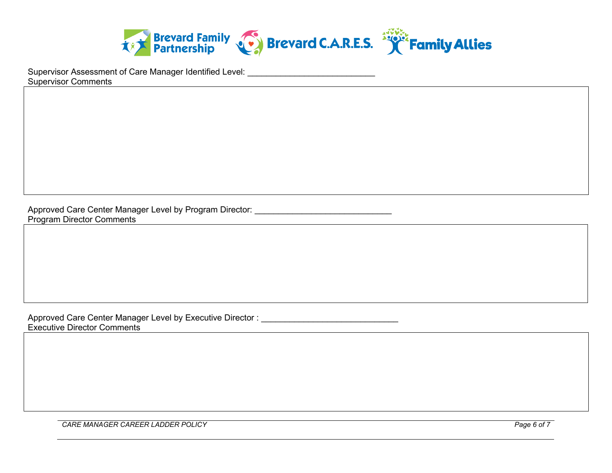

Supervisor Assessment of Care Manager Identified Level: \_\_\_\_\_\_\_\_\_\_\_\_\_\_\_\_\_\_\_\_\_\_\_\_ Supervisor Comments

Approved Care Center Manager Level by Program Director: \_\_\_\_\_\_\_\_\_\_\_\_\_\_\_\_\_\_\_\_\_\_\_\_ Program Director Comments

Approved Care Center Manager Level by Executive Director : Executive Director Comments

*CARE MANAGER CAREER LADDER POLICY Page 6 of 7*